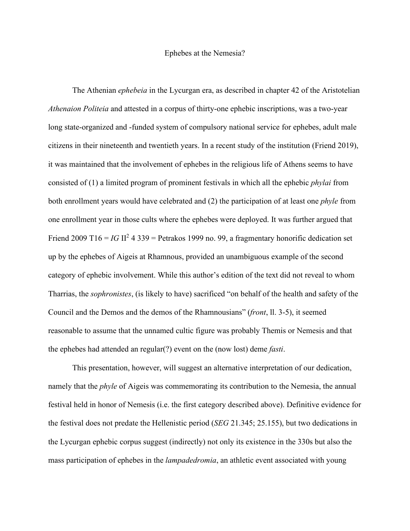## Ephebes at the Nemesia?

The Athenian *ephebeia* in the Lycurgan era, as described in chapter 42 of the Aristotelian *Athenaion Politeia* and attested in a corpus of thirty-one ephebic inscriptions, was a two-year long state-organized and -funded system of compulsory national service for ephebes, adult male citizens in their nineteenth and twentieth years. In a recent study of the institution (Friend 2019), it was maintained that the involvement of ephebes in the religious life of Athens seems to have consisted of (1) a limited program of prominent festivals in which all the ephebic *phylai* from both enrollment years would have celebrated and (2) the participation of at least one *phyle* from one enrollment year in those cults where the ephebes were deployed. It was further argued that Friend 2009 T16 =  $IG II^2$  4 339 = Petrakos 1999 no. 99, a fragmentary honorific dedication set up by the ephebes of Aigeis at Rhamnous, provided an unambiguous example of the second category of ephebic involvement. While this author's edition of the text did not reveal to whom Tharrias, the *sophronistes*, (is likely to have) sacrificed "on behalf of the health and safety of the Council and the Demos and the demos of the Rhamnousians" (*front*, ll. 3-5), it seemed reasonable to assume that the unnamed cultic figure was probably Themis or Nemesis and that the ephebes had attended an regular(?) event on the (now lost) deme *fasti*.

This presentation, however, will suggest an alternative interpretation of our dedication, namely that the *phyle* of Aigeis was commemorating its contribution to the Nemesia, the annual festival held in honor of Nemesis (i.e. the first category described above). Definitive evidence for the festival does not predate the Hellenistic period (*SEG* 21.345; 25.155), but two dedications in the Lycurgan ephebic corpus suggest (indirectly) not only its existence in the 330s but also the mass participation of ephebes in the *lampadedromia*, an athletic event associated with young